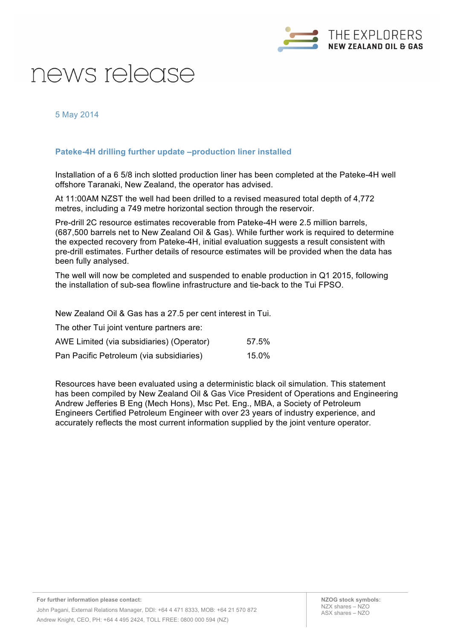

## news release

## 5 May 2014

## **Pateke-4H drilling further update –production liner installed**

Installation of a 6 5/8 inch slotted production liner has been completed at the Pateke-4H well offshore Taranaki, New Zealand, the operator has advised.

At 11:00AM NZST the well had been drilled to a revised measured total depth of 4,772 metres, including a 749 metre horizontal section through the reservoir.

Pre-drill 2C resource estimates recoverable from Pateke-4H were 2.5 million barrels, (687,500 barrels net to New Zealand Oil & Gas). While further work is required to determine the expected recovery from Pateke-4H, initial evaluation suggests a result consistent with pre-drill estimates. Further details of resource estimates will be provided when the data has been fully analysed.

The well will now be completed and suspended to enable production in Q1 2015, following the installation of sub-sea flowline infrastructure and tie-back to the Tui FPSO.

New Zealand Oil & Gas has a 27.5 per cent interest in Tui.

| The other Tui joint venture partners are: |       |
|-------------------------------------------|-------|
| AWE Limited (via subsidiaries) (Operator) | 57.5% |
| Pan Pacific Petroleum (via subsidiaries)  | 15.0% |

Resources have been evaluated using a deterministic black oil simulation. This statement has been compiled by New Zealand Oil & Gas Vice President of Operations and Engineering Andrew Jefferies B Eng (Mech Hons), Msc Pet. Eng., MBA, a Society of Petroleum Engineers Certified Petroleum Engineer with over 23 years of industry experience, and accurately reflects the most current information supplied by the joint venture operator.